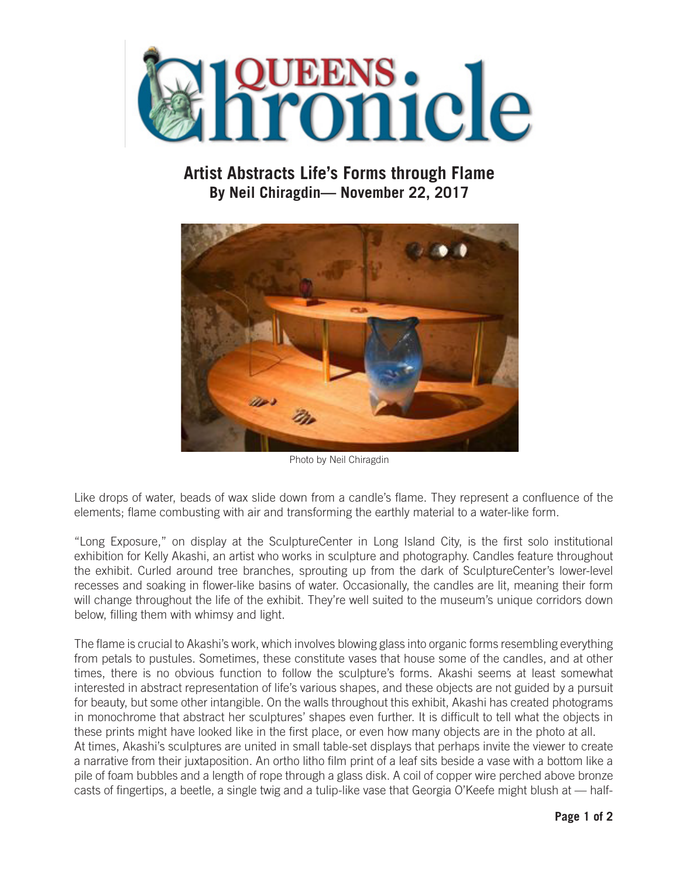

## **Artist Abstracts Life's Forms through Flame By Neil Chiragdin— November 22, 2017**



Photo by Neil Chiragdin

Like drops of water, beads of wax slide down from a candle's flame. They represent a confluence of the elements; flame combusting with air and transforming the earthly material to a water-like form.

"Long Exposure," on display at the SculptureCenter in Long Island City, is the first solo institutional exhibition for Kelly Akashi, an artist who works in sculpture and photography. Candles feature throughout the exhibit. Curled around tree branches, sprouting up from the dark of SculptureCenter's lower-level recesses and soaking in flower-like basins of water. Occasionally, the candles are lit, meaning their form will change throughout the life of the exhibit. They're well suited to the museum's unique corridors down below, filling them with whimsy and light.

The flame is crucial to Akashi's work, which involves blowing glass into organic forms resembling everything from petals to pustules. Sometimes, these constitute vases that house some of the candles, and at other times, there is no obvious function to follow the sculpture's forms. Akashi seems at least somewhat interested in abstract representation of life's various shapes, and these objects are not guided by a pursuit for beauty, but some other intangible. On the walls throughout this exhibit, Akashi has created photograms in monochrome that abstract her sculptures' shapes even further. It is difficult to tell what the objects in these prints might have looked like in the first place, or even how many objects are in the photo at all. At times, Akashi's sculptures are united in small table-set displays that perhaps invite the viewer to create a narrative from their juxtaposition. An ortho litho film print of a leaf sits beside a vase with a bottom like a pile of foam bubbles and a length of rope through a glass disk. A coil of copper wire perched above bronze casts of fingertips, a beetle, a single twig and a tulip-like vase that Georgia O'Keefe might blush at — half-